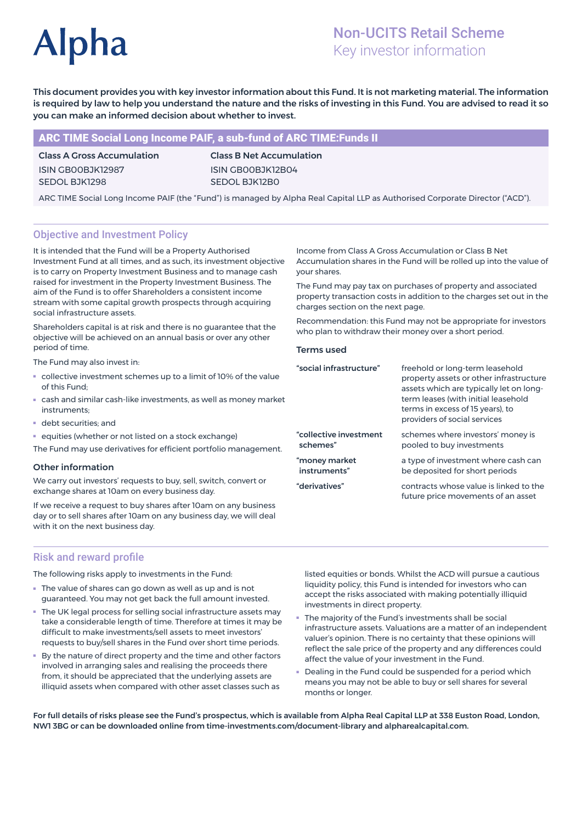# **Alpha**

# Non-UCITS Retail Scheme Key investor information

This document provides you with key investor information about this Fund. It is not marketing material. The information is required by law to help you understand the nature and the risks of investing in this Fund. You are advised to read it so you can make an informed decision about whether to invest.

# ARC TIME Social Long Income PAIF, a sub-fund of ARC TIME:Funds II

# Class A Gross Accumulation ISIN GB00BJK12987 SEDOL BJK1298

Class B Net Accumulation ISIN GB00BJK12B04 SEDOL BJK12B0

ARC TIME Social Long Income PAIF (the "Fund") is managed by Alpha Real Capital LLP as Authorised Corporate Director ("ACD").

# Objective and Investment Policy

It is intended that the Fund will be a Property Authorised Investment Fund at all times, and as such, its investment objective is to carry on Property Investment Business and to manage cash raised for investment in the Property Investment Business. The aim of the Fund is to offer Shareholders a consistent income stream with some capital growth prospects through acquiring social infrastructure assets.

Shareholders capital is at risk and there is no guarantee that the objective will be achieved on an annual basis or over any other period of time.

The Fund may also invest in:

- collective investment schemes up to a limit of 10% of the value of this Fund;
- cash and similar cash-like investments, as well as money market instruments;
- debt securities; and
- equities (whether or not listed on a stock exchange)

The Fund may use derivatives for efficient portfolio management.

#### Other information

We carry out investors' requests to buy, sell, switch, convert or exchange shares at 10am on every business day.

If we receive a request to buy shares after 10am on any business day or to sell shares after 10am on any business day, we will deal with it on the next business day.

Risk and reward profile

The following risks apply to investments in the Fund:

- The value of shares can go down as well as up and is not guaranteed. You may not get back the full amount invested.
- The UK legal process for selling social infrastructure assets may take a considerable length of time. Therefore at times it may be difficult to make investments/sell assets to meet investors' requests to buy/sell shares in the Fund over short time periods.
- By the nature of direct property and the time and other factors involved in arranging sales and realising the proceeds there from, it should be appreciated that the underlying assets are illiquid assets when compared with other asset classes such as

Income from Class A Gross Accumulation or Class B Net Accumulation shares in the Fund will be rolled up into the value of your shares.

The Fund may pay tax on purchases of property and associated property transaction costs in addition to the charges set out in the charges section on the next page.

Recommendation: this Fund may not be appropriate for investors who plan to withdraw their money over a short period.

#### Terms used

| "social infrastructure" | freehold or long-term leasehold<br>property assets or other infrastructure<br>assets which are typically let on long-<br>term leases (with initial leasehold<br>terms in excess of 15 years), to<br>providers of social services |
|-------------------------|----------------------------------------------------------------------------------------------------------------------------------------------------------------------------------------------------------------------------------|
| "collective investment  | schemes where investors' money is                                                                                                                                                                                                |
| schemes"                | pooled to buy investments                                                                                                                                                                                                        |
| "money market           | a type of investment where cash can                                                                                                                                                                                              |
| instruments"            | be deposited for short periods                                                                                                                                                                                                   |
| "derivatives"           | contracts whose value is linked to the<br>future price movements of an asset                                                                                                                                                     |

listed equities or bonds. Whilst the ACD will pursue a cautious liquidity policy, this Fund is intended for investors who can accept the risks associated with making potentially illiquid investments in direct property.

- The majority of the Fund's investments shall be social infrastructure assets. Valuations are a matter of an independent valuer's opinion. There is no certainty that these opinions will reflect the sale price of the property and any differences could affect the value of your investment in the Fund.
- Dealing in the Fund could be suspended for a period which means you may not be able to buy or sell shares for several months or longer.

For full details of risks please see the Fund's prospectus, which is available from Alpha Real Capital LLP at 338 Euston Road, London, NW1 3BG or can be downloaded online from time-investments.com/document-library and alpharealcapital.com.